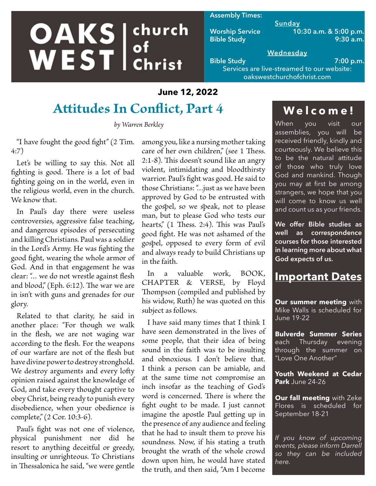# **OAKS** ehurch church

#### **Assembly Times:**

**Sunday Worship Service 10:30 a.m. & 5:00 p.m. Bible Study 9:30 a.m.**

#### **Wednesday Bible Study 7:00 p.m.**

Services are live-streamed to our website: oakswestchurchofchrist.com

### **June 12, 2022**

# **Attitudes In Conflict, Part 4**

*by Warren Berkley*

"I have fought the good fight" (2 Tim. 4:7)

Let's be willing to say this. Not all fighting is good. There is a lot of bad fighting going on in the world, even in the religious world, even in the church. We know that.

In Paul's day there were useless controversies, aggressive false teaching, and dangerous episodes of persecuting and killing Christians. Paul was a soldier in the Lord's Army. He was fighting the good fight, wearing the whole armor of God. And in that engagement he was clear: "… we do not wrestle against flesh and blood," (Eph. 6:12). The war we are in isn't with guns and grenades for our glory.

Related to that clarity, he said in another place: "For though we walk in the flesh, we are not waging war according to the flesh. For the weapons of our warfare are not of the flesh but have divine power to destroy stronghold. We destroy arguments and every lofty opinion raised against the knowledge of God, and take every thought captive to obey Christ, being ready to punish every disobedience, when your obedience is complete," (2 Cor. 10:3-6).

Paul's fight was not one of violence, physical punishment nor did he resort to anything deceitful or greedy, insulting or unrighteous. To Christians in Thessalonica he said, "we were gentle among you, like a nursing mother taking care of her own children," (see 1 Thess. 2:1-8). This doesn't sound like an angry violent, intimidating and bloodthirsty warrior. Paul's fight was good. He said to those Christians: "…just as we have been approved by God to be entrusted with the gospel, so we speak, not to please man, but to please God who tests our hearts," (1 Thess. 2:4). This was Paul's good fight. He was not ashamed of the gospel, opposed to every form of evil and always ready to build Christians up in the faith.

In a valuable work, BOOK, CHAPTER & VERSE, by Floyd Thompson (compiled and published by his widow, Ruth) he was quoted on this subject as follows.

I have said many times that I think I have seen demonstrated in the lives of some people, that their idea of being sound in the faith was to be insulting and obnoxious. I don't believe that. I think a person can be amiable, and at the same time not compromise an inch insofar as the teaching of God's word is concerned. There is where the fight ought to be made. I just cannot imagine the apostle Paul getting up in the presence of any audience and feeling that he had to insult them to prove his soundness. Now, if his stating a truth brought the wrath of the whole crowd down upon him, he would have stated the truth, and then said, "Am I become

# **Welcome!**

When you visit our assemblies, you will be received friendly, kindly and courteously. We believe this to be the natural attitude of those who truly love God and mankind. Though you may at first be among strangers, we hope that you will come to know us well and count us as your friends.

**We offer Bible studies as well as correspondence courses for those interested in learning more about what God expects of us.**

## **Important Dates**

**Our summer meeting** with Mike Walls is scheduled for June 19-22

**Bulverde Summer Series**  each Thursday evening through the summer on "Love One Another"

**Youth Weekend at Cedar Park** June 24-26

**Our fall meeting** with Zeke Flores is scheduled for September 18-21

*If you know of upcoming events, please inform Darrell so they can be included here.*